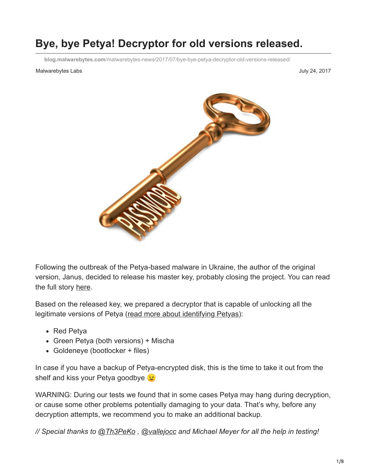# **Bye, bye Petya! Decryptor for old versions released.**

**blog.malwarebytes.com**[/malwarebytes-news/2017/07/bye-bye-petya-decryptor-old-versions-released/](https://blog.malwarebytes.com/malwarebytes-news/2017/07/bye-bye-petya-decryptor-old-versions-released/)

#### Malwarebytes Labs July 24, 2017



Following the outbreak of the Petya-based malware in Ukraine, the author of the original version, Janus, decided to release his master key, probably closing the project. You can read the full story [here](https://blog.malwarebytes.com/cybercrime/2017/07/the-key-to-the-old-petya-has-been-published-by-the-malware-author/).

Based on the released key, we prepared a decryptor that is capable of unlocking all the legitimate versions of Petya ([read more about identifying Petyas](https://blog.malwarebytes.com/cybercrime/2017/07/keeping-up-with-the-petyas-demystifying-the-malware-family/)):

- Red Petya
- Green Petya (both versions) + Mischa
- Goldeneye (bootlocker + files)

In case if you have a backup of Petya-encrypted disk, this is the time to take it out from the shelf and kiss your Petya goodbye  $\odot$ 

WARNING: During our tests we found that in some cases Petya may hang during decryption, or cause some other problems potentially damaging to your data. That's why, before any decryption attempts, we recommend you to make an additional backup.

*// Special thanks to [@Th3PeKo](https://twitter.com/Th3PeKo) , [@vallejocc](https://twitter.com/vallejocc) and Michael Meyer for all the help in testing!*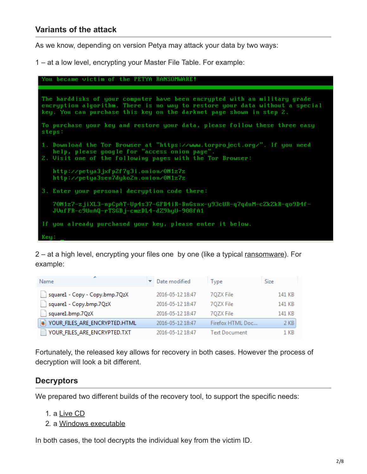As we know, depending on version Petya may attack your data by two ways:

1 – at a low level, encrypting your Master File Table. For example:

You became victim of the PETYA RANSOMWARE! The harddisks of your computer have been encrypted with an military grade encryption algorithm. There is no way to restore your data without a special key. You can purchase this key on the darknet page shown in step 2. To purchase your key and restore your data, please follow these three easy steps: 1. Download the Tor Browser at "https://www.torproject.org/". If you need<br>help, please google for "access onion page".<br>2. Visit one of the following pages with the Tor Browser: http://petya3jxfp2f7g3i.onion/0N1z7z http://petya3sen7dyko2n.onion/0N1z7z 3. Enter your personal decryption code there: 70N1z7-zjiXL3-npCpAT-Up4s37-GFB4iR-BnGsnx-y93cUR-q7qduM-cZkZkR-qo9D4f-JVufFR-c9UuAQ-rTSGBj-cmzDL4-dZ9hyU-908fA1 If you already purchased your key, please enter it below. Keu:

2 – at a high level, encrypting your files one by one (like a typical [ransomware\)](https://www.malwarebytes.com/ransomware). For example:

| A<br><b>Name</b>                   | Date modified    | Type                 | <b>Size</b> |
|------------------------------------|------------------|----------------------|-------------|
| square1 - Copy - Copy.bmp.7QzX     | 2016-05-12 18:47 | 70ZX File            | 141 KB      |
| square1 - Copy.bmp.7QzX            | 2016-05-12 18:47 | 70ZX File            | 141 KB      |
| square1.bmp.7QzX                   | 2016-05-12 18:47 | 70ZX File            | 141 KB      |
| YOUR_FILES_ARE_ENCRYPTED.HTML<br>魅 | 2016-05-12 18:47 | Firefox HTML Doc     | 2 KB        |
| YOUR_FILES_ARE_ENCRYPTED.TXT       | 2016-05-12 18:47 | <b>Text Document</b> | 1 KB        |

Fortunately, the released key allows for recovery in both cases. However the process of decryption will look a bit different.

### **Decryptors**

We prepared two different builds of the recovery tool, to support the specific needs:

- 1. a [Live CD](https://github.com/hasherezade/petya_key/releases/download/0.2/antipetya_ultimate.iso)
- 2. a [Windows executable](https://github.com/hasherezade/petya_key/releases/download/0.2/petya_key_v0.2_win32.zip)

In both cases, the tool decrypts the individual key from the victim ID.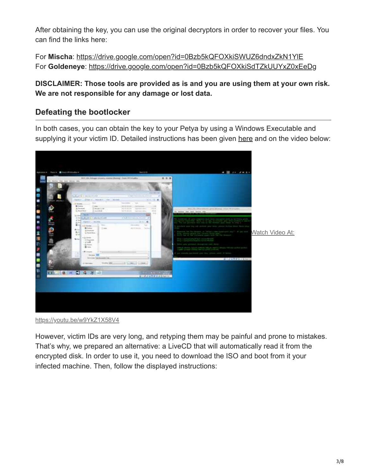After obtaining the key, you can use the original decryptors in order to recover your files. You can find the links here:

For **Mischa**: <https://drive.google.com/open?id=0Bzb5kQFOXkiSWUZ6dndxZkN1YlE> For **Goldeneye**:<https://drive.google.com/open?id=0Bzb5kQFOXkiSdTZkUUYxZ0xEeDg>

### **DISCLAIMER: Those tools are provided as is and you are using them at your own risk. We are not responsible for any damage or lost data.**

# **Defeating the bootlocker**

In both cases, you can obtain the key to your Petya by using a Windows Executable and supplying it your victim ID. Detailed instructions has been given [here](https://github.com/hasherezade/petya_key) and on the video below:



<https://youtu.be/w9YkZ1X58V4>

However, victim IDs are very long, and retyping them may be painful and prone to mistakes. That's why, we prepared an alternative: a LiveCD that will automatically read it from the encrypted disk. In order to use it, you need to download the ISO and boot from it your infected machine. Then, follow the displayed instructions: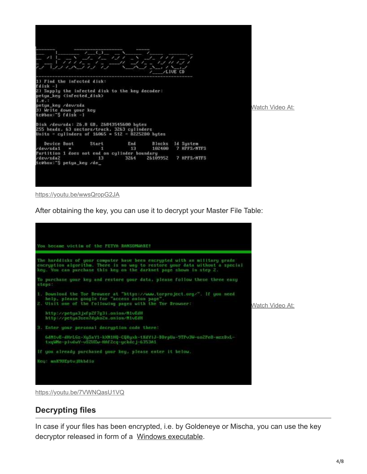

<https://youtu.be/wwsQropG2JA>

After obtaining the key, you can use it to decrypt your Master File Table:



<https://youtu.be/7VWNQasU1VQ>

### **Decrypting files**

In case if your files has been encrypted, i.e. by Goldeneye or Mischa, you can use the key decryptor released in form of a [Windows executable](https://github.com/hasherezade/petya_key/releases/download/0.2/petya_key_v0.2_win32.zip).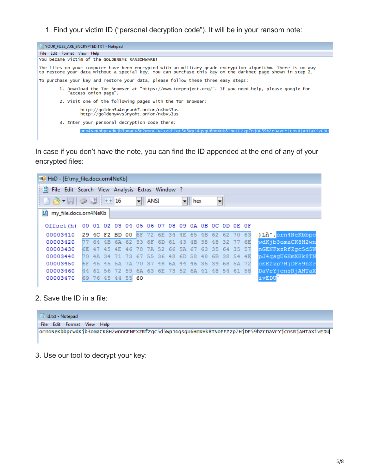1. Find your victim ID ("personal decryption code"). It will be in your ransom note:



In case if you don't have the note, you can find the ID appended at the end of any of your encrypted files:

| MD HxD - [E:\my_file.docx.orn4NeKb]                                            |     |                   |                                                 |     |       |                                     |      |    |    |             |                |     |     |          |      |                  |
|--------------------------------------------------------------------------------|-----|-------------------|-------------------------------------------------|-----|-------|-------------------------------------|------|----|----|-------------|----------------|-----|-----|----------|------|------------------|
| $\left  \frac{5}{10}\right $<br>File Edit Search View Analysis Extras Window ? |     |                   |                                                 |     |       |                                     |      |    |    |             |                |     |     |          |      |                  |
| $  \mathbf{A}   \approx   \mathbf{A}  $                                        |     |                   |                                                 |     |       | $\vert - \vert$                     | ANSI |    |    | ᆒ           | hex            |     | ►   |          |      |                  |
| $F_8^p$<br>my_file.docx.orn4NeKb                                               |     |                   |                                                 |     |       |                                     |      |    |    |             |                |     |     |          |      |                  |
| Offset (h)                                                                     |     |                   | 00 01 02 03 04 05 06 07 08 09 0A 0B 0C 0D 0E 0F |     |       |                                     |      |    |    |             |                |     |     |          |      |                  |
| 00003410                                                                       |     |                   | 29 4C F2 BD 00 6F 72 6E 34 4E 65 4B 62 62 70 63 |     |       |                                     |      |    |    |             |                |     |     |          |      | )Lň".orn4NeKbbpc |
| 00003420                                                                       |     |                   | 77 64 4B 6A 62 33 6F 6D 61 43                   |     |       |                                     |      |    |    |             | 4B 38 48 32 77 |     |     |          | - 6E | wdKjb3omaCK8H2wn |
| 00003430                                                                       | 6E. | -47               | -45                                             | 4E  |       | 46 78 7A 52 66 5A 67 63 35 64 35 57 |      |    |    |             |                |     |     |          |      | nGENFxzRfZqc5d5W |
| 00003440                                                                       | 70. | $4\,\mathrm{\AA}$ | -34                                             | -71 | - 73  | 67 55 36 48                         |      |    |    |             | 6D 58          | -48 | -6B | 38 54 4E |      | pJ4qsqU6HmXHk8TN |
| 00003450                                                                       |     | <b>ISE 45</b>     | 45                                              |     | 5A 7A | -70                                 | -37  | 48 | 6A | 44 46 35 39 |                |     |     | 68 5A    | -72  | oEEZzp7HjDF59hZr |
| 00003460                                                                       | 44  |                   | 61 56 72 59 6A 63 6E 73 52 6A 41 48 54 61 58    |     |       |                                     |      |    |    |             |                |     |     |          |      | DaVrYjcnsRjAHTaX |
| 00003470                                                                       |     |                   | 69 76 45 44 55                                  |     |       | 60                                  |      |    |    |             |                |     |     |          |      | ivEDU'           |

2. Save the ID in a file:



3. Use our tool to decrypt your key: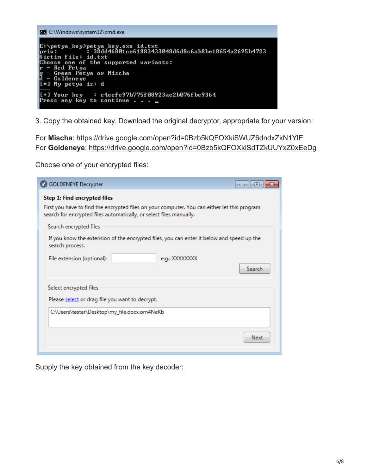| <b>EXEC:\Windows\system32\cmd.exe</b>                                                                                                                                                                                                             |  |  |  |  |  |  |  |
|---------------------------------------------------------------------------------------------------------------------------------------------------------------------------------------------------------------------------------------------------|--|--|--|--|--|--|--|
| E:\petya_key>petya_key.exe id.txt<br>priv: 38dd46801ce61883433048d6d8c6ab8be18654a2695b4723<br>Victim file: id.txt<br>Choose one of the supported variants:<br> r — Red Petya<br>g - Green Petya or Mischa<br>d - Goldeneye<br>[*] My petya is: d |  |  |  |  |  |  |  |
| $[t+1]$ Your key : c4ecfe97b775f08923ae2b076fbe9364<br>Press any key to continue $\ldots$ $\blacksquare$                                                                                                                                          |  |  |  |  |  |  |  |

3. Copy the obtained key. Download the original decryptor, appropriate for your version:

For **Mischa**: <https://drive.google.com/open?id=0Bzb5kQFOXkiSWUZ6dndxZkN1YlE> For **Goldeneye**:<https://drive.google.com/open?id=0Bzb5kQFOXkiSdTZkUUYxZ0xEeDg>

Choose one of your encrypted files:

| <b>GOLDENEYE Decrypter</b>                                                                                                                                                                          |        |
|-----------------------------------------------------------------------------------------------------------------------------------------------------------------------------------------------------|--------|
| Step 1: Find encrypted files<br>First you have to find the encrypted files on your computer. You can either let this program<br>search for encrypted files automatically, or select files manually. |        |
| Search encrypted files<br>If you know the extension of the encrypted files, you can enter it below and speed up the<br>search process.                                                              |        |
| File extension (optional):<br>e.g.: XXXXXXXX                                                                                                                                                        | Search |
| Select encrypted files<br>Please select or drag file you want to decrypt.<br>C:\Users\tester\Desktop\my_file.docx.orn4NeKb                                                                          |        |
|                                                                                                                                                                                                     | Next   |

Supply the key obtained from the key decoder: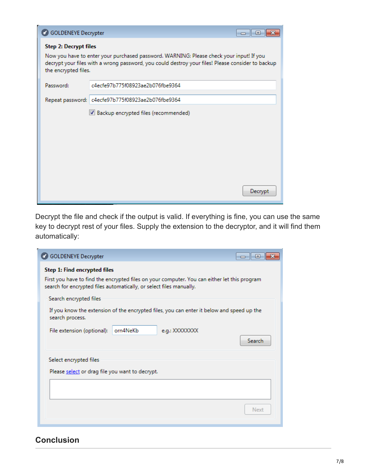| <b>GOLDENEYE Decrypter</b>                           |                                                                                                                                                                                              | E<br>$\overline{\phantom{a}}$ |
|------------------------------------------------------|----------------------------------------------------------------------------------------------------------------------------------------------------------------------------------------------|-------------------------------|
| <b>Step 2: Decrypt files</b><br>the encrypted files. | Now you have to enter your purchased password. WARNING: Please check your input! If you<br>decrypt your files with a wrong password, you could destroy your files! Please consider to backup |                               |
| Password:                                            | c4ecfe97b775f08923ae2b076fbe9364                                                                                                                                                             |                               |
|                                                      | Repeat password: c4ecfe97b775f08923ae2b076fbe9364                                                                                                                                            |                               |
|                                                      | Backup encrypted files (recommended)                                                                                                                                                         |                               |
|                                                      |                                                                                                                                                                                              | Decrypt                       |

Decrypt the file and check if the output is valid. If everything is fine, you can use the same key to decrypt rest of your files. Supply the extension to the decryptor, and it will find them automatically:

| <b>GOLDENEYE Decrypter</b>                                                                                                                                                                          | E<br>$\Box$ |
|-----------------------------------------------------------------------------------------------------------------------------------------------------------------------------------------------------|-------------|
| Step 1: Find encrypted files<br>First you have to find the encrypted files on your computer. You can either let this program<br>search for encrypted files automatically, or select files manually. |             |
| Search encrypted files<br>If you know the extension of the encrypted files, you can enter it below and speed up the<br>search process.<br>orn4NeKb<br>e.g.: XXXXXXXX<br>File extension (optional):  | Search      |
| Select encrypted files<br>Please select or drag file you want to decrypt.                                                                                                                           | Next        |

## **Conclusion**